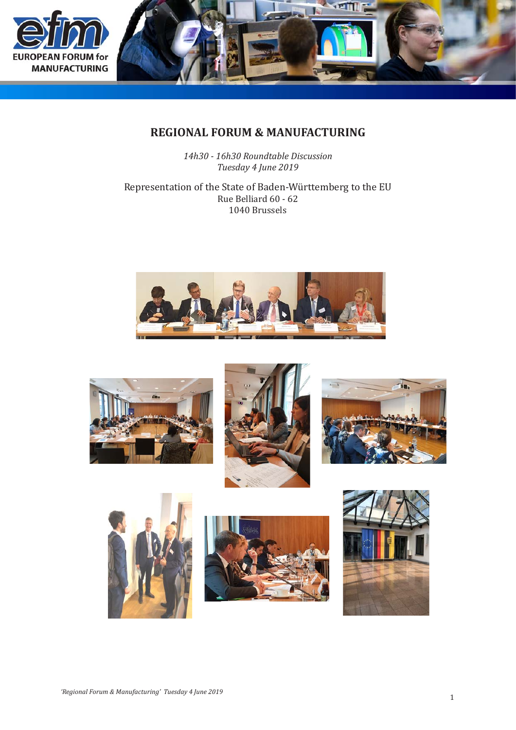



# **REGIONAL FORUM & MANUFACTURING**

*14h30 - 16h30 Roundtable Discussion Tuesday 4 June 2019*

Representation of the State of Baden-Württemberg to the EU Rue Belliard 60 - 62 1040 Brussels













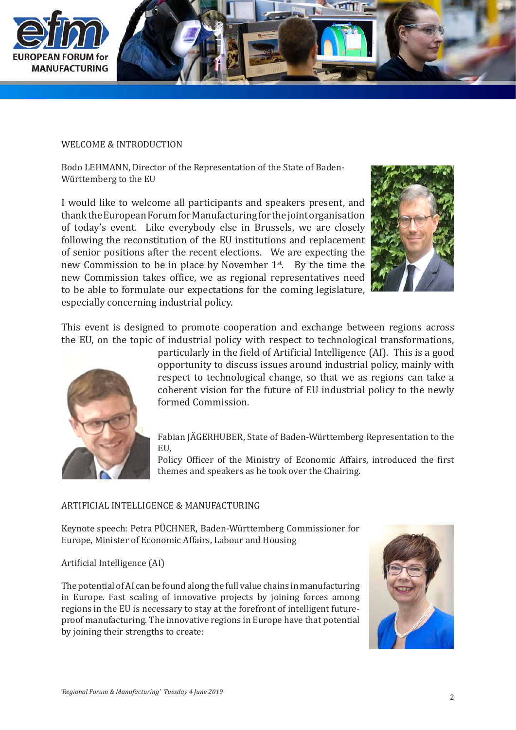

#### WELCOME & INTRODUCTION

Bodo LEHMANN, Director of the Representation of the State of Baden-Württemberg to the EU

I would like to welcome all participants and speakers present, and thank the European Forum for Manufacturing for the joint organisation of today's event. Like everybody else in Brussels, we are closely following the reconstitution of the EU institutions and replacement of senior positions after the recent elections. We are expecting the new Commission to be in place by November  $1<sup>st</sup>$ . By the time the new Commission takes office, we as regional representatives need to be able to formulate our expectations for the coming legislature, especially concerning industrial policy.



This event is designed to promote cooperation and exchange between regions across the EU, on the topic of industrial policy with respect to technological transformations,



particularly in the field of Artificial Intelligence (AI). This is a good opportunity to discuss issues around industrial policy, mainly with respect to technological change, so that we as regions can take a coherent vision for the future of EU industrial policy to the newly formed Commission.

Fabian JÄGERHUBER, State of Baden-Württemberg Representation to the EU,

Policy Officer of the Ministry of Economic Affairs, introduced the first themes and speakers as he took over the Chairing.

#### ARTIFICIAL INTELLIGENCE & MANUFACTURING

Keynote speech: Petra PÜCHNER, Baden-Württemberg Commissioner for Europe, Minister of Economic Affairs, Labour and Housing

#### Artificial Intelligence (AI)

The potential of AI can be found along the full value chains in manufacturing in Europe. Fast scaling of innovative projects by joining forces among regions in the EU is necessary to stay at the forefront of intelligent futureproof manufacturing. The innovative regions in Europe have that potential by joining their strengths to create:

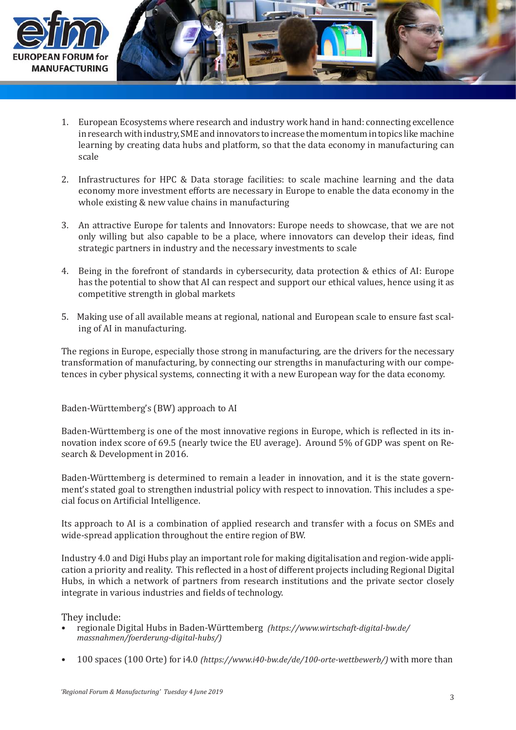

- 1. European Ecosystems where research and industry work hand in hand: connecting excellence in research with industry, SME and innovators to increase the momentum in topics like machine learning by creating data hubs and platform, so that the data economy in manufacturing can scale
- 2. Infrastructures for HPC & Data storage facilities: to scale machine learning and the data economy more investment efforts are necessary in Europe to enable the data economy in the whole existing & new value chains in manufacturing
- 3. An attractive Europe for talents and Innovators: Europe needs to showcase, that we are not only willing but also capable to be a place, where innovators can develop their ideas, find strategic partners in industry and the necessary investments to scale
- 4. Being in the forefront of standards in cybersecurity, data protection & ethics of AI: Europe has the potential to show that AI can respect and support our ethical values, hence using it as competitive strength in global markets
- 5. Making use of all available means at regional, national and European scale to ensure fast scaling of AI in manufacturing.

The regions in Europe, especially those strong in manufacturing, are the drivers for the necessary transformation of manufacturing, by connecting our strengths in manufacturing with our competences in cyber physical systems, connecting it with a new European way for the data economy.

# Baden-Württemberg's (BW) approach to AI

Baden-Württemberg is one of the most innovative regions in Europe, which is reflected in its innovation index score of 69.5 (nearly twice the EU average). Around 5% of GDP was spent on Research & Development in 2016.

Baden-Württemberg is determined to remain a leader in innovation, and it is the state government's stated goal to strengthen industrial policy with respect to innovation. This includes a special focus on Artificial Intelligence.

Its approach to AI is a combination of applied research and transfer with a focus on SMEs and wide-spread application throughout the entire region of BW.

Industry 4.0 and Digi Hubs play an important role for making digitalisation and region-wide application a priority and reality. This reflected in a host of different projects including Regional Digital Hubs, in which a network of partners from research institutions and the private sector closely integrate in various industries and fields of technology.

They include:

- regionale Digital Hubs in Baden-Württemberg *(https://www.wirtschaft-digital-bw.de/ massnahmen/foerderung-digital-hubs/)* •
- 100 spaces (100 Orte) for i4.0 *(https://www.i40-bw.de/de/100-orte-wettbewerb/)* with more than •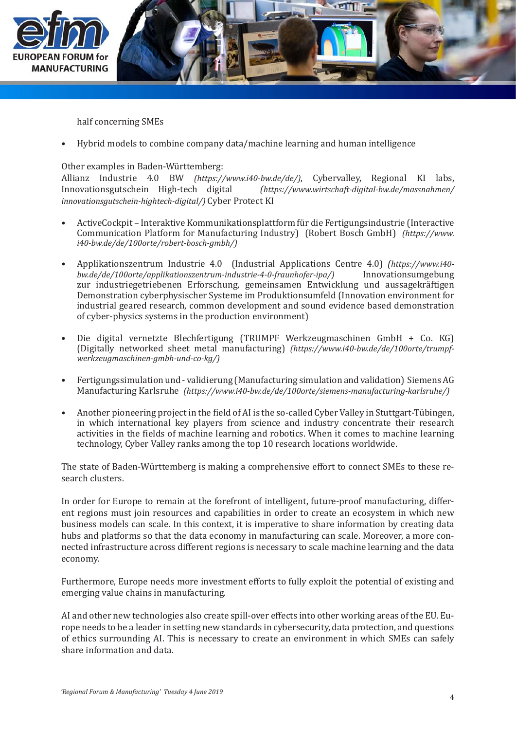

half concerning SMEs

Hybrid models to combine company data/machine learning and human intelligence •

Other examples in Baden-Württemberg:

Allianz Industrie 4.0 BW *(https://www.i40-bw.de/de/)*, Cybervalley, Regional KI labs,  $[https://www.wirtschaft-diaital-bw.de/massnahmen/$ *innovationsgutschein-hightech-digital/)* Cyber Protect KI

- ActiveCockpit Interaktive Kommunikationsplattform für die Fertigungsindustrie (Interactive Communication Platform for Manufacturing Industry) (Robert Bosch GmbH) *(https://www. i40-bw.de/de/100orte/robert-bosch-gmbh/)* •
- Applikationszentrum Industrie 4.0 (Industrial Applications Centre 4.0) *(https://www.i40 bw.de/de/100orte/applikationszentrum-industrie-4-0-fraunhofer-ipa/)* zur industriegetriebenen Erforschung, gemeinsamen Entwicklung und aussagekräftigen Demonstration cyberphysischer Systeme im Produktionsumfeld (Innovation environment for industrial geared research, common development and sound evidence based demonstration of cyber-physics systems in the production environment) •
- Die digital vernetzte Blechfertigung (TRUMPF Werkzeugmaschinen GmbH + Co. KG) (Digitally networked sheet metal manufacturing) *(https://www.i40-bw.de/de/100orte/trumpfwerkzeugmaschinen-gmbh-und-co-kg/)* •
- Fertigungssimulation und validierung (Manufacturing simulation and validation) Siemens AG Manufacturing Karlsruhe *(https://www.i40-bw.de/de/100orte/siemens-manufacturing-karlsruhe/)* •
- Another pioneering project in the field of AI is the so-called Cyber Valley in Stuttgart-Tübingen, in which international key players from science and industry concentrate their research activities in the fields of machine learning and robotics. When it comes to machine learning technology, Cyber Valley ranks among the top 10 research locations worldwide. •

The state of Baden-Württemberg is making a comprehensive effort to connect SMEs to these research clusters.

In order for Europe to remain at the forefront of intelligent, future-proof manufacturing, different regions must join resources and capabilities in order to create an ecosystem in which new business models can scale. In this context, it is imperative to share information by creating data hubs and platforms so that the data economy in manufacturing can scale. Moreover, a more connected infrastructure across different regions is necessary to scale machine learning and the data economy.

Furthermore, Europe needs more investment efforts to fully exploit the potential of existing and emerging value chains in manufacturing.

AI and other new technologies also create spill-over effects into other working areas of the EU. Europe needs to be a leader in setting new standards in cybersecurity, data protection, and questions of ethics surrounding AI. This is necessary to create an environment in which SMEs can safely share information and data.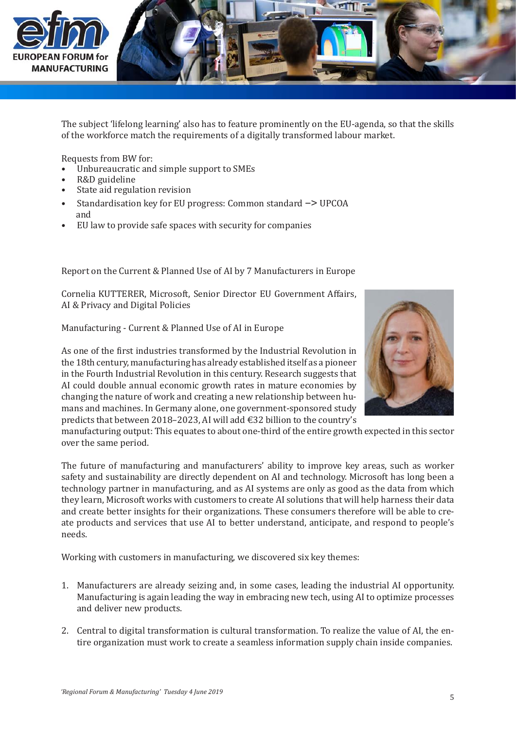

The subject 'lifelong learning' also has to feature prominently on the EU-agenda, so that the skills of the workforce match the requirements of a digitally transformed labour market.

Requests from BW for:

- Unbureaucratic and simple support to SMEs •
- R&D guideline •
- State aid regulation revision •
- Standardisation key for EU progress: Common standard -> UPCOA and •
- EU law to provide safe spaces with security for companies •

Report on the Current & Planned Use of AI by 7 Manufacturers in Europe

Cornelia KUTTERER, Microsoft, Senior Director EU Government Affairs, AI & Privacy and Digital Policies

Manufacturing - Current & Planned Use of AI in Europe



As one of the first industries transformed by the Industrial Revolution in the 18th century, manufacturing has already established itself as a pioneer in the Fourth Industrial Revolution in this century. Research suggests that AI could double annual economic growth rates in mature economies by changing the nature of work and creating a new relationship between humans and machines. In Germany alone, one government-sponsored study predicts that between 2018–2023, AI will add €32 billion to the country's

manufacturing output: This equates to about one-third of the entire growth expected in this sector over the same period.

The future of manufacturing and manufacturers' ability to improve key areas, such as worker safety and sustainability are directly dependent on AI and technology. Microsoft has long been a technology partner in manufacturing, and as AI systems are only as good as the data from which they learn, Microsoft works with customers to create AI solutions that will help harness their data and create better insights for their organizations. These consumers therefore will be able to create products and services that use AI to better understand, anticipate, and respond to people's needs.

Working with customers in manufacturing, we discovered six key themes:

- Manufacturers are already seizing and, in some cases, leading the industrial AI opportunity. 1. Manufacturing is again leading the way in embracing new tech, using AI to optimize processes and deliver new products.
- 2. Central to digital transformation is cultural transformation. To realize the value of AI, the entire organization must work to create a seamless information supply chain inside companies.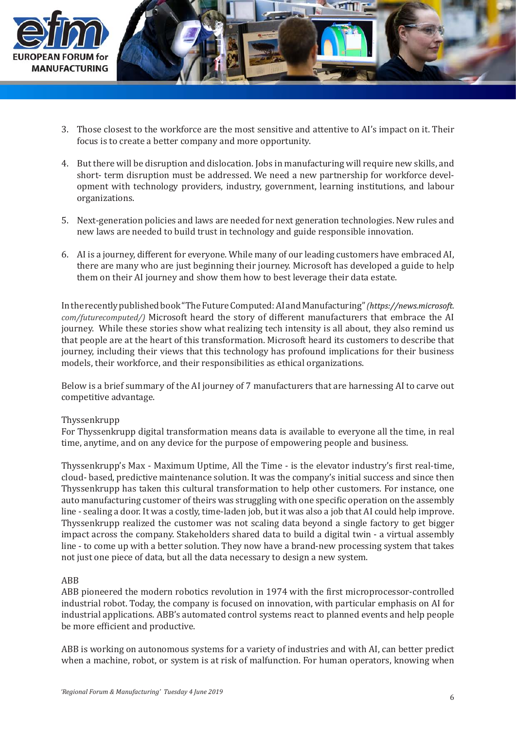

- 3. Those closest to the workforce are the most sensitive and attentive to AI's impact on it. Their focus is to create a better company and more opportunity.
- 4. But there will be disruption and dislocation. Jobs in manufacturing will require new skills, and  $\,$ short- term disruption must be addressed. We need a new partnership for workforce development with technology providers, industry, government, learning institutions, and labour organizations.
- 5. Next-generation policies and laws are needed for next generation technologies. New rules and  $\,$ new laws are needed to build trust in technology and guide responsible innovation.
- AI is a journey, different for everyone. While many of our leading customers have embraced AI, 6.there are many who are just beginning their journey. Microsoft has developed a guide to help them on their AI journey and show them how to best leverage their data estate.

In the recently published book "The Future Computed: AI and Manufacturing" *( com/futurecomputed/)* Microsoft heard the story of different manufacturers that embrace the AI journey. While these stories show what realizing tech intensity is all about, they also remind us that people are at the heart of this transformation. Microsoft heard its customers to describe that journey, including their views that this technology has profound implications for their business models, their workforce, and their responsibilities as ethical organizations.

Below is a brief summary of the AI journey of 7 manufacturers that are harnessing AI to carve out competitive advantage.

# Thyssenkrupp

For Thyssenkrupp digital transformation means data is available to everyone all the time, in real time, anytime, and on any device for the purpose of empowering people and business.

Thyssenkrupp's Max - Maximum Uptime, All the Time - is the elevator industry's first real-time, cloud- based, predictive maintenance solution. It was the company's initial success and since then Thyssenkrupp has taken this cultural transformation to help other customers. For instance, one auto manufacturing customer of theirs was struggling with one specific operation on the assembly line - sealing a door. It was a costly, time-laden job, but it was also a job that AI could help improve. Thyssenkrupp realized the customer was not scaling data beyond a single factory to get bigger impact across the company. Stakeholders shared data to build a digital twin - a virtual assembly line - to come up with a better solution. They now have a brand-new processing system that takes not just one piece of data, but all the data necessary to design a new system.

# ABB

ABB pioneered the modern robotics revolution in 1974 with the first microprocessor-controlled industrial robot. Today, the company is focused on innovation, with particular emphasis on AI for industrial applications. ABB's automated control systems react to planned events and help people be more efficient and productive.

ABB is working on autonomous systems for a variety of industries and with AI, can better predict when a machine, robot, or system is at risk of malfunction. For human operators, knowing when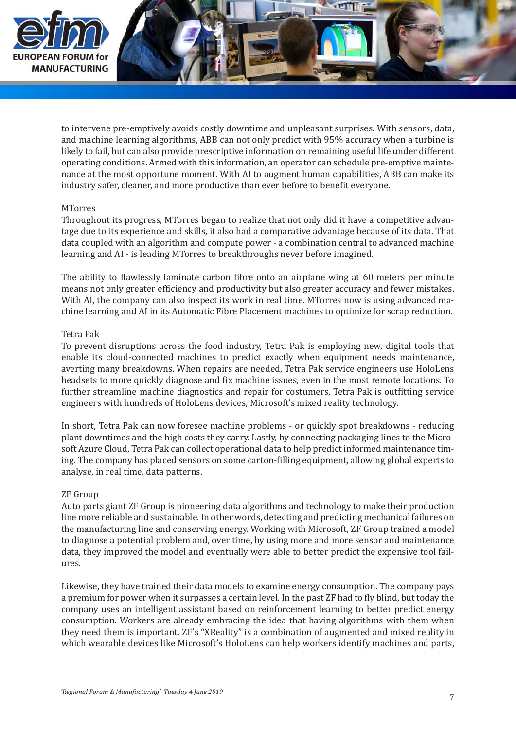

to intervene pre-emptively avoids costly downtime and unpleasant surprises. With sensors, data, and machine learning algorithms, ABB can not only predict with 95% accuracy when a turbine is likely to fail, but can also provide prescriptive information on remaining useful life under different operating conditions. Armed with this information, an operator can schedule pre-emptive maintenance at the most opportune moment. With AI to augment human capabilities, ABB can make its industry safer, cleaner, and more productive than ever before to benefit everyone.

## **MTorres**

Throughout its progress, MTorres began to realize that not only did it have a competitive advantage due to its experience and skills, it also had a comparative advantage because of its data. That data coupled with an algorithm and compute power - a combination central to advanced machine learning and AI - is leading MTorres to breakthroughs never before imagined.

The ability to flawlessly laminate carbon fibre onto an airplane wing at 60 meters per minute means not only greater efficiency and productivity but also greater accuracy and fewer mistakes. With AI, the company can also inspect its work in real time. MTorres now is using advanced machine learning and AI in its Automatic Fibre Placement machines to optimize for scrap reduction.

#### Tetra Pak

To prevent disruptions across the food industry, Tetra Pak is employing new, digital tools that enable its cloud-connected machines to predict exactly when equipment needs maintenance, averting many breakdowns. When repairs are needed, Tetra Pak service engineers use HoloLens headsets to more quickly diagnose and fix machine issues, even in the most remote locations. To further streamline machine diagnostics and repair for costumers, Tetra Pak is outfitting service engineers with hundreds of HoloLens devices, Microsoft's mixed reality technology.

In short, Tetra Pak can now foresee machine problems - or quickly spot breakdowns - reducing plant downtimes and the high costs they carry. Lastly, by connecting packaging lines to the Microsoft Azure Cloud, Tetra Pak can collect operational data to help predict informed maintenance timing. The company has placed sensors on some carton-filling equipment, allowing global experts to analyse, in real time, data patterns.

#### ZF Group

Auto parts giant ZF Group is pioneering data algorithms and technology to make their production line more reliable and sustainable. In other words, detecting and predicting mechanical failures on the manufacturing line and conserving energy. Working with Microsoft, ZF Group trained a model to diagnose a potential problem and, over time, by using more and more sensor and maintenance data, they improved the model and eventually were able to better predict the expensive tool failures.

Likewise, they have trained their data models to examine energy consumption. The company pays a premium for power when it surpasses a certain level. In the past ZF had to fly blind, but today the company uses an intelligent assistant based on reinforcement learning to better predict energy consumption. Workers are already embracing the idea that having algorithms with them when they need them is important. ZF's "XReality" is a combination of augmented and mixed reality in which wearable devices like Microsoft's HoloLens can help workers identify machines and parts,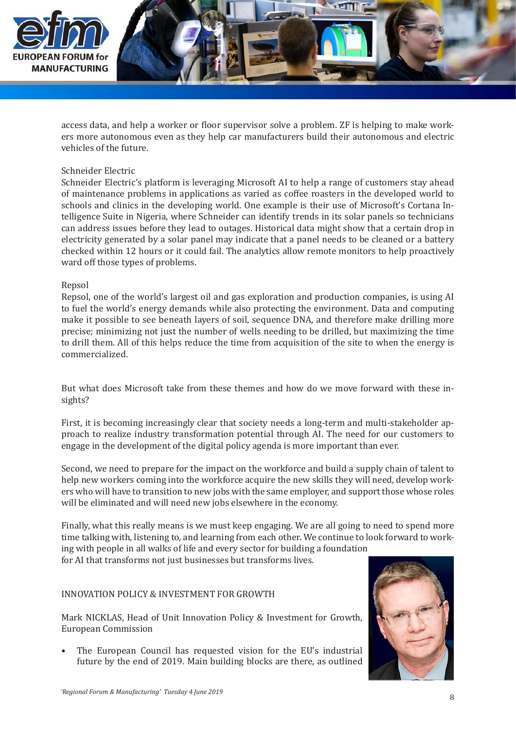

access data, and help a worker or floor supervisor solve a problem. ZF is helping to make workers more autonomous even as they help car manufacturers build their autonomous and electric vehicles of the future.

#### Schneider Electric

Schneider Electric's platform is leveraging Microsoft AI to help a range of customers stay ahead of maintenance problems in applications as varied as coffee roasters in the developed world to schools and clinics in the developing world. One example is their use of Microsoft's Cortana Intelligence Suite in Nigeria, where Schneider can identify trends in its solar panels so technicians can address issues before they lead to outages. Historical data might show that a certain drop in electricity generated by a solar panel may indicate that a panel needs to be cleaned or a battery checked within 12 hours or it could fail. The analytics allow remote monitors to help proactively ward off those types of problems.

#### Repsol

Repsol, one of the world's largest oil and gas exploration and production companies, is using AI to fuel the world's energy demands while also protecting the environment. Data and computing make it possible to see beneath layers of soil, sequence DNA, and therefore make drilling more precise; minimizing not just the number of wells needing to be drilled, but maximizing the time to drill them. All of this helps reduce the time from acquisition of the site to when the energy is commercialized.

But what does Microsoft take from these themes and how do we move forward with these insights?

First, it is becoming increasingly clear that society needs a long-term and multi-stakeholder approach to realize industry transformation potential through AI. The need for our customers to engage in the development of the digital policy agenda is more important than ever.

Second, we need to prepare for the impact on the workforce and build a supply chain of talent to help new workers coming into the workforce acquire the new skills they will need, develop workers who will have to transition to new jobs with the same employer, and support those whose roles will be eliminated and will need new jobs elsewhere in the economy.

Finally, what this really means is we must keep engaging. We are all going to need to spend more time talking with, listening to, and learning from each other. We continue to look forward to working with people in all walks of life and every sector for building a foundation

for AI that transforms not just businesses but transforms lives.

## INNOVATION POLICY & INVESTMENT FOR GROWTH

Mark NICKLAS, Head of Unit Innovation Policy & Investment for Growth, European Commission

The European Council has requested vision for the EU's industrial future by the end of 2019. Main building blocks are there, as outlined •

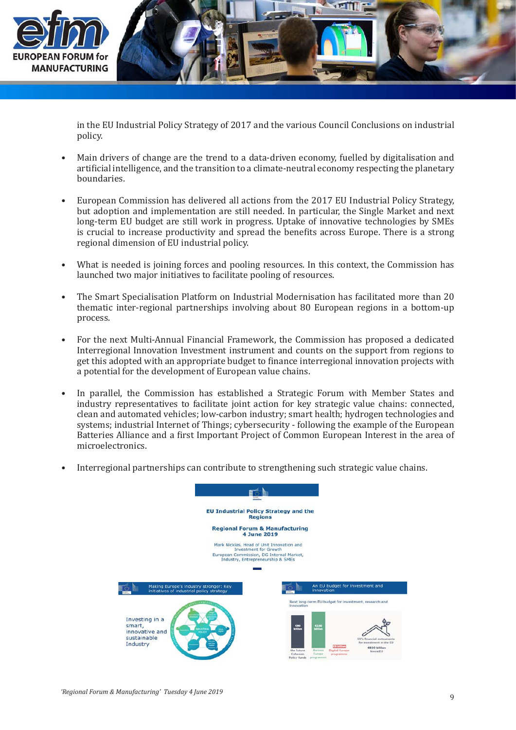

in the EU Industrial Policy Strategy of 2017 and the various Council Conclusions on industrial policy.

- Main drivers of change are the trend to a data-driven economy, fuelled by digitalisation and artificial intelligence, and the transition to a climate-neutral economy respecting the planetary boundaries. •
- European Commission has delivered all actions from the 2017 EU Industrial Policy Strategy, but adoption and implementation are still needed. In particular, the Single Market and next long-term EU budget are still work in progress. Uptake of innovative technologies by SMEs is crucial to increase productivity and spread the benefits across Europe. There is a strong regional dimension of EU industrial policy. •
- What is needed is joining forces and pooling resources. In this context, the Commission has launched two major initiatives to facilitate pooling of resources. •
- The Smart Specialisation Platform on Industrial Modernisation has facilitated more than 20 thematic inter-regional partnerships involving about 80 European regions in a bottom-up process. •
- For the next Multi-Annual Financial Framework, the Commission has proposed a dedicated Interregional Innovation Investment instrument and counts on the support from regions to get this adopted with an appropriate budget to finance interregional innovation projects with a potential for the development of European value chains. •
- In parallel, the Commission has established a Strategic Forum with Member States and industry representatives to facilitate joint action for key strategic value chains: connected, clean and automated vehicles; low-carbon industry; smart health; hydrogen technologies and systems; industrial Internet of Things; cybersecurity - following the example of the European Batteries Alliance and a first Important Project of Common European Interest in the area of microelectronics. •
- Interregional partnerships can contribute to strengthening such strategic value chains. •

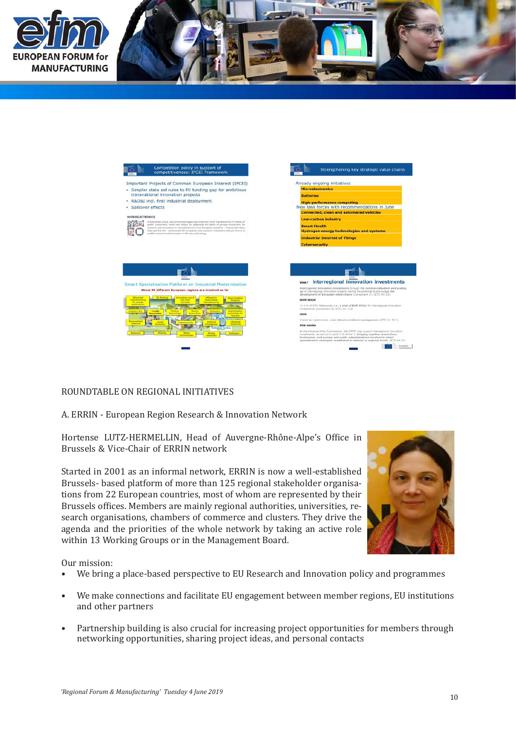



# ROUNDTABLE ON REGIONAL INITIATIVES

## A. ERRIN - European Region Research & Innovation Network

Hortense LUTZ-HERMELLIN, Head of Auvergne-Rhône-Alpe's Office in Brussels & Vice-Chair of ERRIN network

Started in 2001 as an informal network, ERRIN is now a well-established Brussels- based platform of more than 125 regional stakeholder organisations from 22 European countries, most of whom are represented by their Brussels offices. Members are mainly regional authorities, universities, research organisations, chambers of commerce and clusters. They drive the agenda and the priorities of the whole network by taking an active role within 13 Working Groups or in the Management Board.



Our mission:

- We bring a place-based perspective to EU Research and Innovation policy and programmes •
- We make connections and facilitate EU engagement between member regions, EU institutions and other partners •
- Partnership building is also crucial for increasing project opportunities for members through networking opportunities, sharing project ideas, and personal contacts •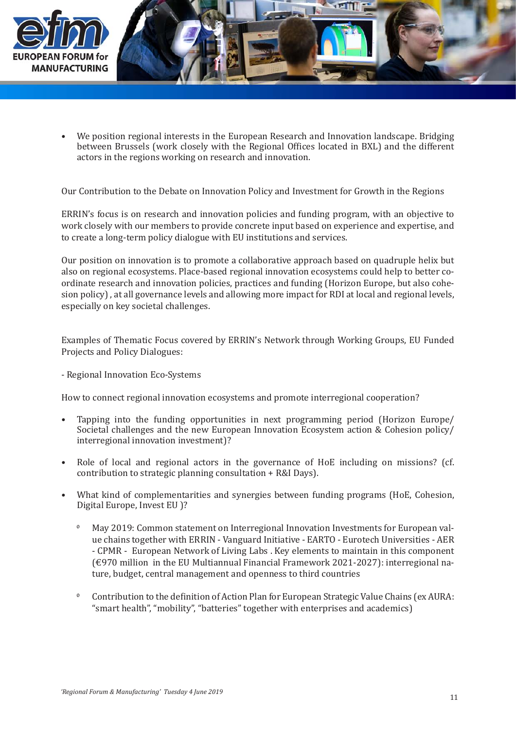

We position regional interests in the European Research and Innovation landscape. Bridging between Brussels (work closely with the Regional Offices located in BXL) and the different actors in the regions working on research and innovation. •

Our Contribution to the Debate on Innovation Policy and Investment for Growth in the Regions

ERRIN's focus is on research and innovation policies and funding program, with an objective to work closely with our members to provide concrete input based on experience and expertise, and to create a long-term policy dialogue with EU institutions and services.

Our position on innovation is to promote a collaborative approach based on quadruple helix but also on regional ecosystems. Place-based regional innovation ecosystems could help to better coordinate research and innovation policies, practices and funding (Horizon Europe, but also cohesion policy) , at all governance levels and allowing more impact for RDI at local and regional levels, especially on key societal challenges.

Examples of Thematic Focus covered by ERRIN's Network through Working Groups, EU Funded Projects and Policy Dialogues:

## - Regional Innovation Eco-Systems

How to connect regional innovation ecosystems and promote interregional cooperation?

- Tapping into the funding opportunities in next programming period (Horizon Europe/ Societal challenges and the new European Innovation Ecosystem action & Cohesion policy/ interregional innovation investment)? •
- Role of local and regional actors in the governance of HoE including on missions? (cf. contribution to strategic planning consultation + R&I Days). •
- What kind of complementarities and synergies between funding programs (HoE, Cohesion, Digital Europe, Invest EU )? •
	- May 2019: Common statement on Interregional Innovation Investments for European value chains together with ERRIN - Vanguard Initiative - EARTO - Eurotech Universities - AER - CPMR - European Network of Living Labs . Key elements to maintain in this component (€970 million in the EU Multiannual Financial Framework 2021-2027): interregional nature, budget, central management and openness to third countries  $\mathfrak{o}$
	- Contribution to the definition of Action Plan for European Strategic Value Chains (ex AURA: "smart health", "mobility", "batteries" together with enterprises and academics)  $\mathbf{o}$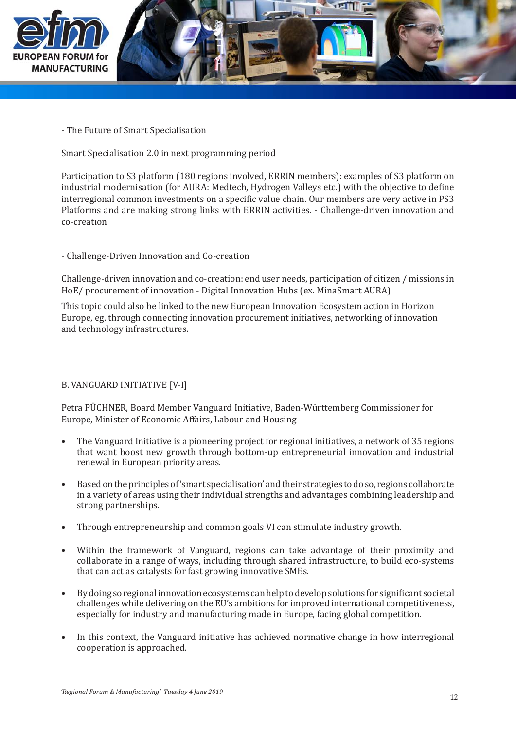

- The Future of Smart Specialisation

Smart Specialisation 2.0 in next programming period

Participation to S3 platform (180 regions involved, ERRIN members): examples of S3 platform on industrial modernisation (for AURA: Medtech, Hydrogen Valleys etc.) with the objective to define interregional common investments on a specific value chain. Our members are very active in PS3 Platforms and are making strong links with ERRIN activities. - Challenge-driven innovation and co-creation

# - Challenge-Driven Innovation and Co-creation

Challenge-driven innovation and co-creation: end user needs, participation of citizen / missions in HoE/ procurement of innovation - Digital Innovation Hubs (ex. MinaSmart AURA)

This topic could also be linked to the new European Innovation Ecosystem action in Horizon Europe, eg. through connecting innovation procurement initiatives, networking of innovation and technology infrastructures.

# B. VANGUARD INITIATIVE [V-I]

Petra PÜCHNER, Board Member Vanguard Initiative, Baden-Württemberg Commissioner for Europe, Minister of Economic Affairs, Labour and Housing

- The Vanguard Initiative is a pioneering project for regional initiatives, a network of 35 regions that want boost new growth through bottom-up entrepreneurial innovation and industrial renewal in European priority areas. •
- Based on the principles of 'smart specialisation' and their strategies to do so, regions collaborate in a variety of areas using their individual strengths and advantages combining leadership and strong partnerships. •
- Through entrepreneurship and common goals VI can stimulate industry growth. •
- Within the framework of Vanguard, regions can take advantage of their proximity and collaborate in a range of ways, including through shared infrastructure, to build eco-systems that can act as catalysts for fast growing innovative SMEs. •
- By doing so regional innovation ecosystems can help to develop solutions for significant societal challenges while delivering on the EU's ambitions for improved international competitiveness, especially for industry and manufacturing made in Europe, facing global competition. •
- In this context, the Vanguard initiative has achieved normative change in how interregional cooperation is approached. •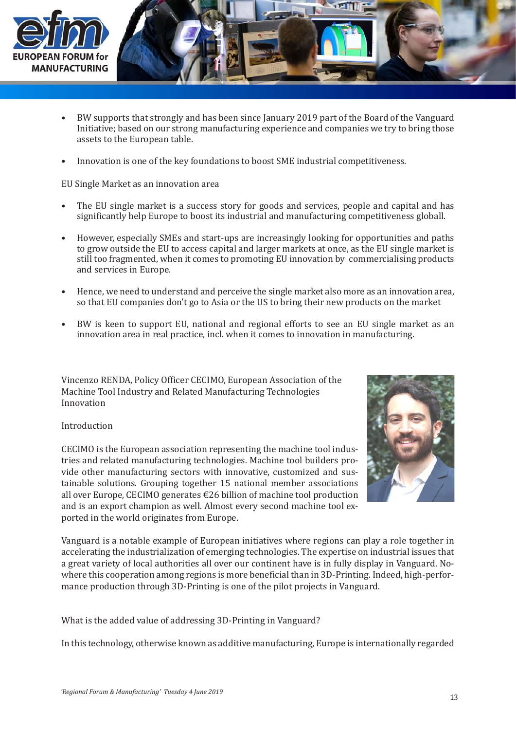

- BW supports that strongly and has been since January 2019 part of the Board of the Vanguard Initiative; based on our strong manufacturing experience and companies we try to bring those assets to the European table. •
- Innovation is one of the key foundations to boost SME industrial competitiveness. •

EU Single Market as an innovation area

- The EU single market is a success story for goods and services, people and capital and has significantly help Europe to boost its industrial and manufacturing competitiveness globall. •
- However, especially SMEs and start-ups are increasingly looking for opportunities and paths to grow outside the EU to access capital and larger markets at once, as the EU single market is still too fragmented, when it comes to promoting EU innovation by commercialising products and services in Europe. •
- Hence, we need to understand and perceive the single market also more as an innovation area, so that EU companies don't go to Asia or the US to bring their new products on the market •
- BW is keen to support EU, national and regional efforts to see an EU single market as an innovation area in real practice, incl. when it comes to innovation in manufacturing. •

Vincenzo RENDA, Policy Officer CECIMO, European Association of the Machine Tool Industry and Related Manufacturing Technologies Innovation

# Introduction

CECIMO is the European association representing the machine tool industries and related manufacturing technologies. Machine tool builders provide other manufacturing sectors with innovative, customized and sustainable solutions. Grouping together 15 national member associations all over Europe, CECIMO generates €26 billion of machine tool production and is an export champion as well. Almost every second machine tool exported in the world originates from Europe.



Vanguard is a notable example of European initiatives where regions can play a role together in accelerating the industrialization of emerging technologies. The expertise on industrial issues that a great variety of local authorities all over our continent have is in fully display in Vanguard. Nowhere this cooperation among regions is more beneficial than in 3D-Printing. Indeed, high-performance production through 3D-Printing is one of the pilot projects in Vanguard.

What is the added value of addressing 3D-Printing in Vanguard?

In this technology, otherwise known as additive manufacturing, Europe is internationally regarded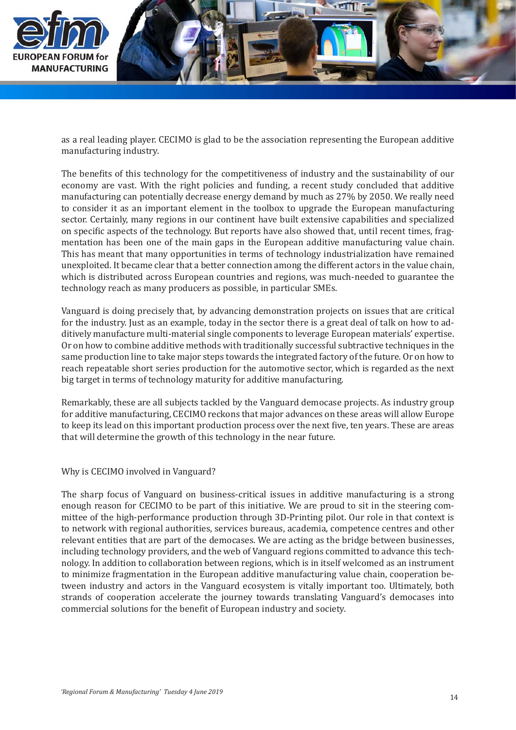

as a real leading player. CECIMO is glad to be the association representing the European additive manufacturing industry.

The benefits of this technology for the competitiveness of industry and the sustainability of our economy are vast. With the right policies and funding, a recent study concluded that additive manufacturing can potentially decrease energy demand by much as 27% by 2050. We really need to consider it as an important element in the toolbox to upgrade the European manufacturing sector. Certainly, many regions in our continent have built extensive capabilities and specialized on specific aspects of the technology. But reports have also showed that, until recent times, fragmentation has been one of the main gaps in the European additive manufacturing value chain. This has meant that many opportunities in terms of technology industrialization have remained unexploited. It became clear that a better connection among the different actors in the value chain, which is distributed across European countries and regions, was much-needed to guarantee the technology reach as many producers as possible, in particular SMEs.

Vanguard is doing precisely that, by advancing demonstration projects on issues that are critical for the industry. Just as an example, today in the sector there is a great deal of talk on how to additively manufacture multi-material single components to leverage European materials' expertise. Or on how to combine additive methods with traditionally successful subtractive techniques in the same production line to take major steps towards the integrated factory of the future. Or on how to reach repeatable short series production for the automotive sector, which is regarded as the next big target in terms of technology maturity for additive manufacturing.

Remarkably, these are all subjects tackled by the Vanguard democase projects. As industry group for additive manufacturing, CECIMO reckons that major advances on these areas will allow Europe to keep its lead on this important production process over the next five, ten years. These are areas that will determine the growth of this technology in the near future.

Why is CECIMO involved in Vanguard?

The sharp focus of Vanguard on business-critical issues in additive manufacturing is a strong enough reason for CECIMO to be part of this initiative. We are proud to sit in the steering committee of the high-performance production through 3D-Printing pilot. Our role in that context is to network with regional authorities, services bureaus, academia, competence centres and other relevant entities that are part of the democases. We are acting as the bridge between businesses, including technology providers, and the web of Vanguard regions committed to advance this technology. In addition to collaboration between regions, which is in itself welcomed as an instrument to minimize fragmentation in the European additive manufacturing value chain, cooperation between industry and actors in the Vanguard ecosystem is vitally important too. Ultimately, both strands of cooperation accelerate the journey towards translating Vanguard's democases into commercial solutions for the benefit of European industry and society.